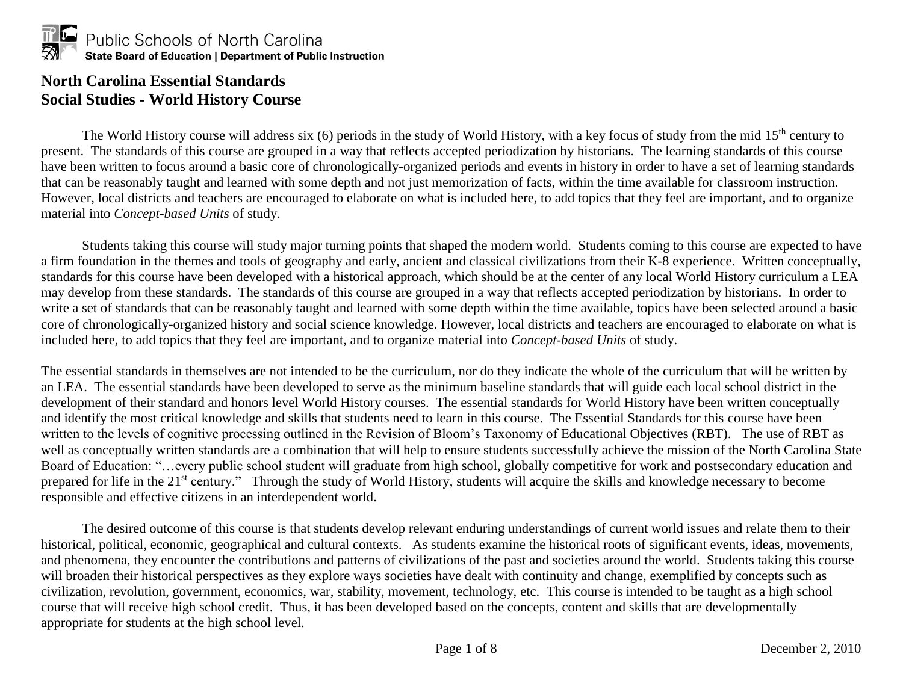

## **North Carolina Essential Standards Social Studies - World History Course**

The World History course will address six (6) periods in the study of World History, with a key focus of study from the mid 15<sup>th</sup> century to present. The standards of this course are grouped in a way that reflects accepted periodization by historians. The learning standards of this course have been written to focus around a basic core of chronologically-organized periods and events in history in order to have a set of learning standards that can be reasonably taught and learned with some depth and not just memorization of facts, within the time available for classroom instruction. However, local districts and teachers are encouraged to elaborate on what is included here, to add topics that they feel are important, and to organize material into *Concept-based Units* of study.

Students taking this course will study major turning points that shaped the modern world. Students coming to this course are expected to have a firm foundation in the themes and tools of geography and early, ancient and classical civilizations from their K-8 experience. Written conceptually, standards for this course have been developed with a historical approach, which should be at the center of any local World History curriculum a LEA may develop from these standards. The standards of this course are grouped in a way that reflects accepted periodization by historians. In order to write a set of standards that can be reasonably taught and learned with some depth within the time available, topics have been selected around a basic core of chronologically-organized history and social science knowledge. However, local districts and teachers are encouraged to elaborate on what is included here, to add topics that they feel are important, and to organize material into *Concept-based Units* of study.

The essential standards in themselves are not intended to be the curriculum, nor do they indicate the whole of the curriculum that will be written by an LEA. The essential standards have been developed to serve as the minimum baseline standards that will guide each local school district in the development of their standard and honors level World History courses. The essential standards for World History have been written conceptually and identify the most critical knowledge and skills that students need to learn in this course. The Essential Standards for this course have been written to the levels of cognitive processing outlined in the Revision of Bloom's Taxonomy of Educational Objectives (RBT). The use of RBT as well as conceptually written standards are a combination that will help to ensure students successfully achieve the mission of the North Carolina State Board of Education: "…every public school student will graduate from high school, globally competitive for work and postsecondary education and prepared for life in the 21<sup>st</sup> century." Through the study of World History, students will acquire the skills and knowledge necessary to become responsible and effective citizens in an interdependent world.

The desired outcome of this course is that students develop relevant enduring understandings of current world issues and relate them to their historical, political, economic, geographical and cultural contexts. As students examine the historical roots of significant events, ideas, movements, and phenomena, they encounter the contributions and patterns of civilizations of the past and societies around the world. Students taking this course will broaden their historical perspectives as they explore ways societies have dealt with continuity and change, exemplified by concepts such as civilization, revolution, government, economics, war, stability, movement, technology, etc. This course is intended to be taught as a high school course that will receive high school credit. Thus, it has been developed based on the concepts, content and skills that are developmentally appropriate for students at the high school level.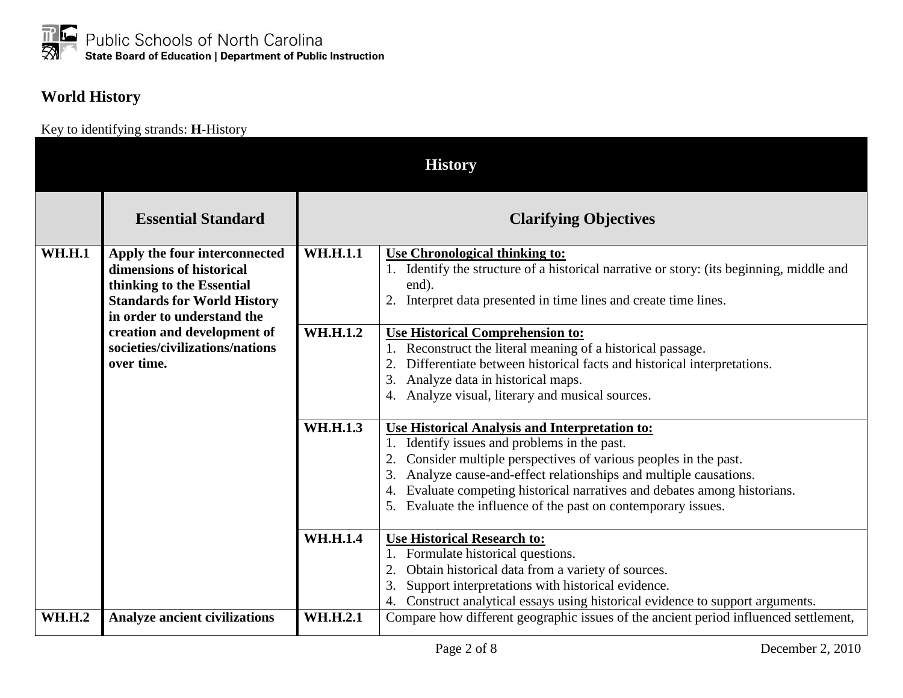## **World History**

Key to identifying strands: **H**-History

|               | <b>History</b>                                                                                                                                             |                 |                                                                                                                                                                                                                                                                                                                                                                                      |  |
|---------------|------------------------------------------------------------------------------------------------------------------------------------------------------------|-----------------|--------------------------------------------------------------------------------------------------------------------------------------------------------------------------------------------------------------------------------------------------------------------------------------------------------------------------------------------------------------------------------------|--|
|               | <b>Essential Standard</b>                                                                                                                                  |                 | <b>Clarifying Objectives</b>                                                                                                                                                                                                                                                                                                                                                         |  |
| <b>WH.H.1</b> | Apply the four interconnected<br>dimensions of historical<br>thinking to the Essential<br><b>Standards for World History</b><br>in order to understand the | <b>WH.H.1.1</b> | <b>Use Chronological thinking to:</b><br>1. Identify the structure of a historical narrative or story: (its beginning, middle and<br>end).<br>2. Interpret data presented in time lines and create time lines.                                                                                                                                                                       |  |
|               | creation and development of<br>societies/civilizations/nations<br>over time.                                                                               | <b>WH.H.1.2</b> | <b>Use Historical Comprehension to:</b><br>1. Reconstruct the literal meaning of a historical passage.<br>2. Differentiate between historical facts and historical interpretations.<br>3. Analyze data in historical maps.<br>4. Analyze visual, literary and musical sources.                                                                                                       |  |
|               |                                                                                                                                                            | WH.H.1.3        | Use Historical Analysis and Interpretation to:<br>1. Identify issues and problems in the past.<br>Consider multiple perspectives of various peoples in the past.<br>3. Analyze cause-and-effect relationships and multiple causations.<br>4. Evaluate competing historical narratives and debates among historians.<br>5. Evaluate the influence of the past on contemporary issues. |  |
|               |                                                                                                                                                            | <b>WH.H.1.4</b> | <b>Use Historical Research to:</b><br>1. Formulate historical questions.<br>Obtain historical data from a variety of sources.<br>Support interpretations with historical evidence.<br>3.<br>4. Construct analytical essays using historical evidence to support arguments.                                                                                                           |  |
| <b>WH.H.2</b> | <b>Analyze ancient civilizations</b>                                                                                                                       | WH.H.2.1        | Compare how different geographic issues of the ancient period influenced settlement,                                                                                                                                                                                                                                                                                                 |  |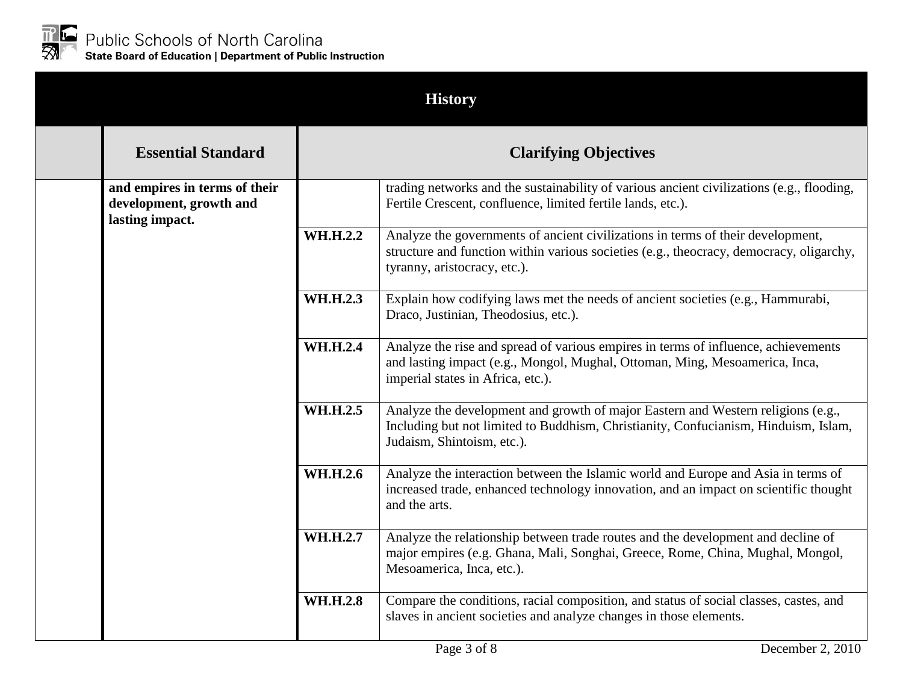

| <b>History</b>                                                              |                              |                                                                                                                                                                                                            |  |
|-----------------------------------------------------------------------------|------------------------------|------------------------------------------------------------------------------------------------------------------------------------------------------------------------------------------------------------|--|
| <b>Essential Standard</b>                                                   | <b>Clarifying Objectives</b> |                                                                                                                                                                                                            |  |
| and empires in terms of their<br>development, growth and<br>lasting impact. |                              | trading networks and the sustainability of various ancient civilizations (e.g., flooding,<br>Fertile Crescent, confluence, limited fertile lands, etc.).                                                   |  |
|                                                                             | WH.H.2.2                     | Analyze the governments of ancient civilizations in terms of their development,<br>structure and function within various societies (e.g., theocracy, democracy, oligarchy,<br>tyranny, aristocracy, etc.). |  |
|                                                                             | WH.H.2.3                     | Explain how codifying laws met the needs of ancient societies (e.g., Hammurabi,<br>Draco, Justinian, Theodosius, etc.).                                                                                    |  |
|                                                                             | <b>WH.H.2.4</b>              | Analyze the rise and spread of various empires in terms of influence, achievements<br>and lasting impact (e.g., Mongol, Mughal, Ottoman, Ming, Mesoamerica, Inca,<br>imperial states in Africa, etc.).     |  |
|                                                                             | WH.H.2.5                     | Analyze the development and growth of major Eastern and Western religions (e.g.,<br>Including but not limited to Buddhism, Christianity, Confucianism, Hinduism, Islam,<br>Judaism, Shintoism, etc.).      |  |
|                                                                             | WH.H.2.6                     | Analyze the interaction between the Islamic world and Europe and Asia in terms of<br>increased trade, enhanced technology innovation, and an impact on scientific thought<br>and the arts.                 |  |
|                                                                             | WH.H.2.7                     | Analyze the relationship between trade routes and the development and decline of<br>major empires (e.g. Ghana, Mali, Songhai, Greece, Rome, China, Mughal, Mongol,<br>Mesoamerica, Inca, etc.).            |  |
|                                                                             | <b>WH.H.2.8</b>              | Compare the conditions, racial composition, and status of social classes, castes, and<br>slaves in ancient societies and analyze changes in those elements.                                                |  |
|                                                                             |                              | Page 3 of 8<br>December 2, 2010                                                                                                                                                                            |  |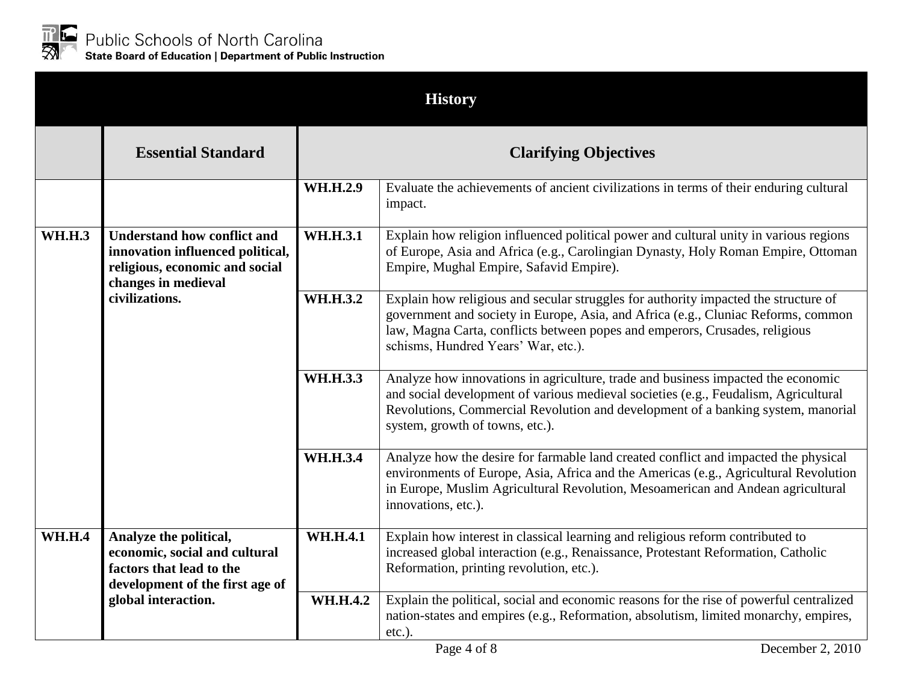

|               |                                                                                                                                 |                              | <b>History</b>                                                                                                                                                                                                                                                                                 |  |
|---------------|---------------------------------------------------------------------------------------------------------------------------------|------------------------------|------------------------------------------------------------------------------------------------------------------------------------------------------------------------------------------------------------------------------------------------------------------------------------------------|--|
|               | <b>Essential Standard</b>                                                                                                       | <b>Clarifying Objectives</b> |                                                                                                                                                                                                                                                                                                |  |
|               |                                                                                                                                 | WH.H.2.9                     | Evaluate the achievements of ancient civilizations in terms of their enduring cultural<br>impact.                                                                                                                                                                                              |  |
| <b>WH.H.3</b> | <b>Understand how conflict and</b><br>innovation influenced political,<br>religious, economic and social<br>changes in medieval | <b>WH.H.3.1</b>              | Explain how religion influenced political power and cultural unity in various regions<br>of Europe, Asia and Africa (e.g., Carolingian Dynasty, Holy Roman Empire, Ottoman<br>Empire, Mughal Empire, Safavid Empire).                                                                          |  |
|               | civilizations.                                                                                                                  | WH.H.3.2                     | Explain how religious and secular struggles for authority impacted the structure of<br>government and society in Europe, Asia, and Africa (e.g., Cluniac Reforms, common<br>law, Magna Carta, conflicts between popes and emperors, Crusades, religious<br>schisms, Hundred Years' War, etc.). |  |
|               |                                                                                                                                 | <b>WH.H.3.3</b>              | Analyze how innovations in agriculture, trade and business impacted the economic<br>and social development of various medieval societies (e.g., Feudalism, Agricultural<br>Revolutions, Commercial Revolution and development of a banking system, manorial<br>system, growth of towns, etc.). |  |
|               |                                                                                                                                 | <b>WH.H.3.4</b>              | Analyze how the desire for farmable land created conflict and impacted the physical<br>environments of Europe, Asia, Africa and the Americas (e.g., Agricultural Revolution<br>in Europe, Muslim Agricultural Revolution, Mesoamerican and Andean agricultural<br>innovations, etc.).          |  |
| <b>WH.H.4</b> | Analyze the political,<br>economic, social and cultural<br>factors that lead to the<br>development of the first age of          | <b>WH.H.4.1</b>              | Explain how interest in classical learning and religious reform contributed to<br>increased global interaction (e.g., Renaissance, Protestant Reformation, Catholic<br>Reformation, printing revolution, etc.).                                                                                |  |
|               | global interaction.                                                                                                             | <b>WH.H.4.2</b>              | Explain the political, social and economic reasons for the rise of powerful centralized<br>nation-states and empires (e.g., Reformation, absolutism, limited monarchy, empires,<br>$etc.$ ).                                                                                                   |  |
|               |                                                                                                                                 |                              | Page 4 of 8<br>December 2, 2010                                                                                                                                                                                                                                                                |  |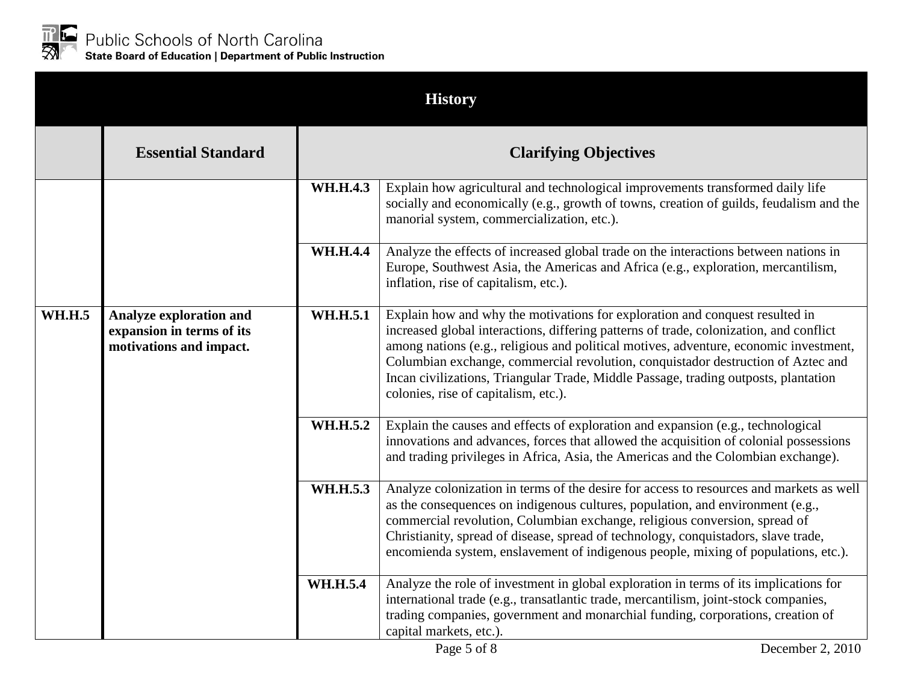

|               |                                                                                        |                              | <b>History</b>                                                                                                                                                                                                                                                                                                                                                                                                                                                                     |
|---------------|----------------------------------------------------------------------------------------|------------------------------|------------------------------------------------------------------------------------------------------------------------------------------------------------------------------------------------------------------------------------------------------------------------------------------------------------------------------------------------------------------------------------------------------------------------------------------------------------------------------------|
|               | <b>Essential Standard</b>                                                              | <b>Clarifying Objectives</b> |                                                                                                                                                                                                                                                                                                                                                                                                                                                                                    |
|               |                                                                                        | <b>WH.H.4.3</b>              | Explain how agricultural and technological improvements transformed daily life<br>socially and economically (e.g., growth of towns, creation of guilds, feudalism and the<br>manorial system, commercialization, etc.).                                                                                                                                                                                                                                                            |
|               |                                                                                        | <b>WH.H.4.4</b>              | Analyze the effects of increased global trade on the interactions between nations in<br>Europe, Southwest Asia, the Americas and Africa (e.g., exploration, mercantilism,<br>inflation, rise of capitalism, etc.).                                                                                                                                                                                                                                                                 |
| <b>WH.H.5</b> | <b>Analyze exploration and</b><br>expansion in terms of its<br>motivations and impact. | WH.H.5.1                     | Explain how and why the motivations for exploration and conquest resulted in<br>increased global interactions, differing patterns of trade, colonization, and conflict<br>among nations (e.g., religious and political motives, adventure, economic investment,<br>Columbian exchange, commercial revolution, conquistador destruction of Aztec and<br>Incan civilizations, Triangular Trade, Middle Passage, trading outposts, plantation<br>colonies, rise of capitalism, etc.). |
|               |                                                                                        | WH.H.5.2                     | Explain the causes and effects of exploration and expansion (e.g., technological<br>innovations and advances, forces that allowed the acquisition of colonial possessions<br>and trading privileges in Africa, Asia, the Americas and the Colombian exchange).                                                                                                                                                                                                                     |
|               |                                                                                        | WH.H.5.3                     | Analyze colonization in terms of the desire for access to resources and markets as well<br>as the consequences on indigenous cultures, population, and environment (e.g.,<br>commercial revolution, Columbian exchange, religious conversion, spread of<br>Christianity, spread of disease, spread of technology, conquistadors, slave trade,<br>encomienda system, enslavement of indigenous people, mixing of populations, etc.).                                                |
|               |                                                                                        | <b>WH.H.5.4</b>              | Analyze the role of investment in global exploration in terms of its implications for<br>international trade (e.g., transatlantic trade, mercantilism, joint-stock companies,<br>trading companies, government and monarchial funding, corporations, creation of<br>capital markets, etc.).                                                                                                                                                                                        |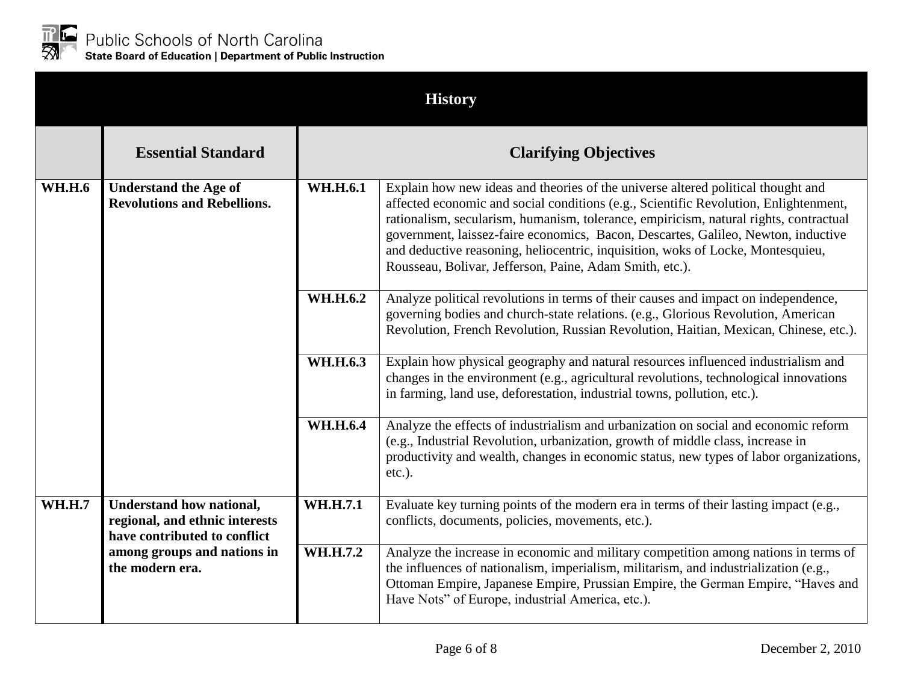

|               |                                                                                                                                                     |                              | <b>History</b>                                                                                                                                                                                                                                                                                                                                                                                                                                                                                       |  |
|---------------|-----------------------------------------------------------------------------------------------------------------------------------------------------|------------------------------|------------------------------------------------------------------------------------------------------------------------------------------------------------------------------------------------------------------------------------------------------------------------------------------------------------------------------------------------------------------------------------------------------------------------------------------------------------------------------------------------------|--|
|               | <b>Essential Standard</b>                                                                                                                           | <b>Clarifying Objectives</b> |                                                                                                                                                                                                                                                                                                                                                                                                                                                                                                      |  |
| <b>WH.H.6</b> | <b>Understand the Age of</b><br><b>Revolutions and Rebellions.</b>                                                                                  | WH.H.6.1                     | Explain how new ideas and theories of the universe altered political thought and<br>affected economic and social conditions (e.g., Scientific Revolution, Enlightenment,<br>rationalism, secularism, humanism, tolerance, empiricism, natural rights, contractual<br>government, laissez-faire economics, Bacon, Descartes, Galileo, Newton, inductive<br>and deductive reasoning, heliocentric, inquisition, woks of Locke, Montesquieu,<br>Rousseau, Bolivar, Jefferson, Paine, Adam Smith, etc.). |  |
|               |                                                                                                                                                     | WH.H.6.2                     | Analyze political revolutions in terms of their causes and impact on independence,<br>governing bodies and church-state relations. (e.g., Glorious Revolution, American<br>Revolution, French Revolution, Russian Revolution, Haitian, Mexican, Chinese, etc.).                                                                                                                                                                                                                                      |  |
|               |                                                                                                                                                     | WH.H.6.3                     | Explain how physical geography and natural resources influenced industrialism and<br>changes in the environment (e.g., agricultural revolutions, technological innovations<br>in farming, land use, deforestation, industrial towns, pollution, etc.).                                                                                                                                                                                                                                               |  |
|               |                                                                                                                                                     | <b>WH.H.6.4</b>              | Analyze the effects of industrialism and urbanization on social and economic reform<br>(e.g., Industrial Revolution, urbanization, growth of middle class, increase in<br>productivity and wealth, changes in economic status, new types of labor organizations,<br>$etc.$ ).                                                                                                                                                                                                                        |  |
| <b>WH.H.7</b> | <b>Understand how national,</b><br>regional, and ethnic interests<br>have contributed to conflict<br>among groups and nations in<br>the modern era. | WH.H.7.1                     | Evaluate key turning points of the modern era in terms of their lasting impact (e.g.,<br>conflicts, documents, policies, movements, etc.).                                                                                                                                                                                                                                                                                                                                                           |  |
|               |                                                                                                                                                     | WH.H.7.2                     | Analyze the increase in economic and military competition among nations in terms of<br>the influences of nationalism, imperialism, militarism, and industrialization (e.g.,<br>Ottoman Empire, Japanese Empire, Prussian Empire, the German Empire, "Haves and<br>Have Nots" of Europe, industrial America, etc.).                                                                                                                                                                                   |  |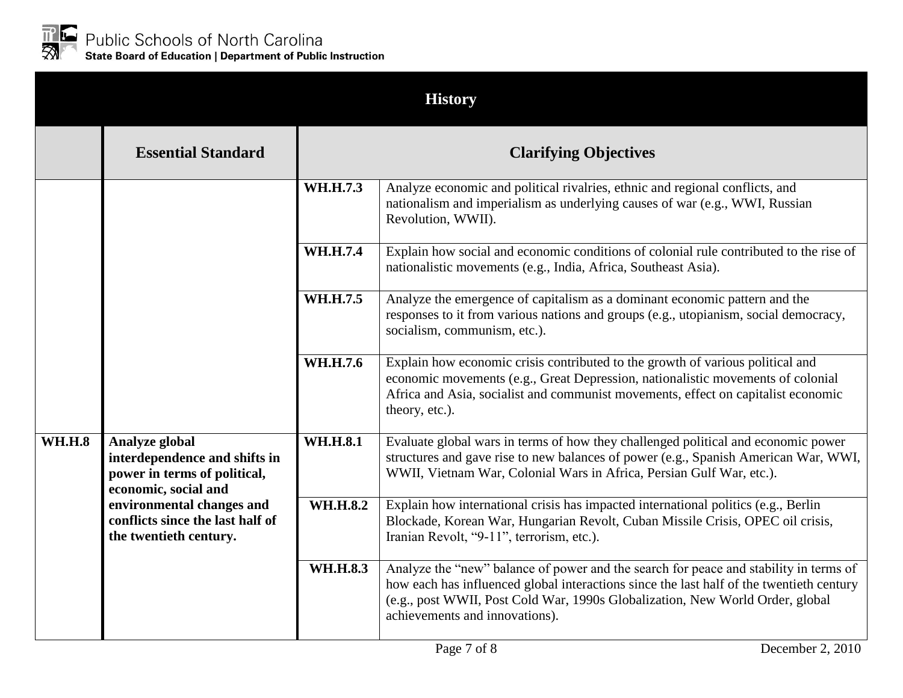

|               |                                                                                                                                                                                                    |                              | <b>History</b>                                                                                                                                                                                                                                                                                       |  |
|---------------|----------------------------------------------------------------------------------------------------------------------------------------------------------------------------------------------------|------------------------------|------------------------------------------------------------------------------------------------------------------------------------------------------------------------------------------------------------------------------------------------------------------------------------------------------|--|
|               | <b>Essential Standard</b>                                                                                                                                                                          | <b>Clarifying Objectives</b> |                                                                                                                                                                                                                                                                                                      |  |
|               |                                                                                                                                                                                                    | WH.H.7.3                     | Analyze economic and political rivalries, ethnic and regional conflicts, and<br>nationalism and imperialism as underlying causes of war (e.g., WWI, Russian<br>Revolution, WWII).                                                                                                                    |  |
|               |                                                                                                                                                                                                    | <b>WH.H.7.4</b>              | Explain how social and economic conditions of colonial rule contributed to the rise of<br>nationalistic movements (e.g., India, Africa, Southeast Asia).                                                                                                                                             |  |
|               |                                                                                                                                                                                                    | WH.H.7.5                     | Analyze the emergence of capitalism as a dominant economic pattern and the<br>responses to it from various nations and groups (e.g., utopianism, social democracy,<br>socialism, communism, etc.).                                                                                                   |  |
|               |                                                                                                                                                                                                    | WH.H.7.6                     | Explain how economic crisis contributed to the growth of various political and<br>economic movements (e.g., Great Depression, nationalistic movements of colonial<br>Africa and Asia, socialist and communist movements, effect on capitalist economic<br>theory, etc.).                             |  |
| <b>WH.H.8</b> | Analyze global<br>interdependence and shifts in<br>power in terms of political,<br>economic, social and<br>environmental changes and<br>conflicts since the last half of<br>the twentieth century. | <b>WH.H.8.1</b>              | Evaluate global wars in terms of how they challenged political and economic power<br>structures and gave rise to new balances of power (e.g., Spanish American War, WWI,<br>WWII, Vietnam War, Colonial Wars in Africa, Persian Gulf War, etc.).                                                     |  |
|               |                                                                                                                                                                                                    | <b>WH.H.8.2</b>              | Explain how international crisis has impacted international politics (e.g., Berlin<br>Blockade, Korean War, Hungarian Revolt, Cuban Missile Crisis, OPEC oil crisis,<br>Iranian Revolt, "9-11", terrorism, etc.).                                                                                    |  |
|               |                                                                                                                                                                                                    | <b>WH.H.8.3</b>              | Analyze the "new" balance of power and the search for peace and stability in terms of<br>how each has influenced global interactions since the last half of the twentieth century<br>(e.g., post WWII, Post Cold War, 1990s Globalization, New World Order, global<br>achievements and innovations). |  |
|               |                                                                                                                                                                                                    |                              | Page 7 of 8<br>December 2, 2010                                                                                                                                                                                                                                                                      |  |